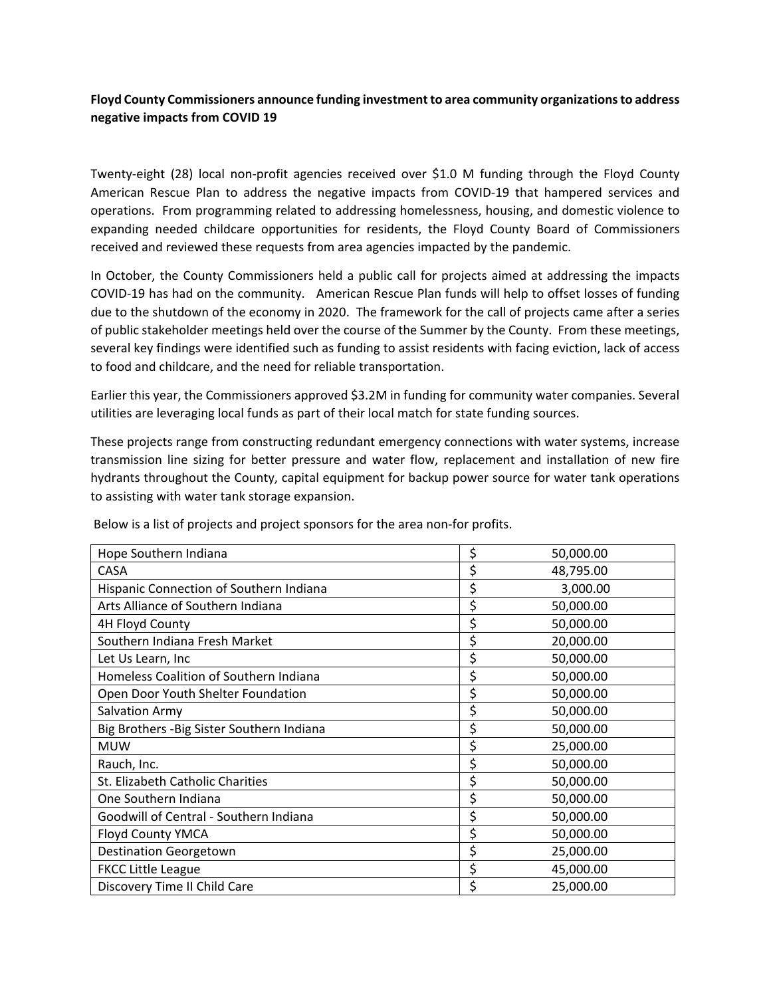## **Floyd County Commissioners announce funding investmentto area community organizationsto address negative impacts from COVID 19**

Twenty-eight (28) local non-profit agencies received over \$1.0 M funding through the Floyd County American Rescue Plan to address the negative impacts from COVID-19 that hampered services and operations. From programming related to addressing homelessness, housing, and domestic violence to expanding needed childcare opportunities for residents, the Floyd County Board of Commissioners received and reviewed these requests from area agencies impacted by the pandemic.

In October, the County Commissioners held a public call for projects aimed at addressing the impacts COVID-19 has had on the community. American Rescue Plan funds will help to offset losses of funding due to the shutdown of the economy in 2020. The framework for the call of projects came after a series of public stakeholder meetings held over the course of the Summer by the County. From these meetings, several key findings were identified such as funding to assist residents with facing eviction, lack of access to food and childcare, and the need for reliable transportation.

Earlier this year, the Commissioners approved \$3.2M in funding for community water companies. Several utilities are leveraging local funds as part of their local match for state funding sources.

These projects range from constructing redundant emergency connections with water systems, increase transmission line sizing for better pressure and water flow, replacement and installation of new fire hydrants throughout the County, capital equipment for backup power source for water tank operations to assisting with water tank storage expansion.

| Hope Southern Indiana                      | \$<br>50,000.00 |  |
|--------------------------------------------|-----------------|--|
| CASA                                       | \$<br>48,795.00 |  |
| Hispanic Connection of Southern Indiana    | \$<br>3,000.00  |  |
| Arts Alliance of Southern Indiana          | \$<br>50,000.00 |  |
| 4H Floyd County                            | \$<br>50,000.00 |  |
| Southern Indiana Fresh Market              | \$<br>20,000.00 |  |
| Let Us Learn, Inc                          | \$<br>50,000.00 |  |
| Homeless Coalition of Southern Indiana     | \$<br>50,000.00 |  |
| Open Door Youth Shelter Foundation         | \$<br>50,000.00 |  |
| Salvation Army                             | \$<br>50,000.00 |  |
| Big Brothers - Big Sister Southern Indiana | \$<br>50,000.00 |  |
| <b>MUW</b>                                 | \$<br>25,000.00 |  |
| Rauch, Inc.                                | \$<br>50,000.00 |  |
| St. Elizabeth Catholic Charities           | \$<br>50,000.00 |  |
| One Southern Indiana                       | \$<br>50,000.00 |  |
| Goodwill of Central - Southern Indiana     | \$<br>50,000.00 |  |
| <b>Floyd County YMCA</b>                   | \$<br>50,000.00 |  |
| <b>Destination Georgetown</b>              | \$<br>25,000.00 |  |
| <b>FKCC Little League</b>                  | \$<br>45,000.00 |  |
| Discovery Time II Child Care               | \$<br>25,000.00 |  |

Below is a list of projects and project sponsors for the area non-for profits.